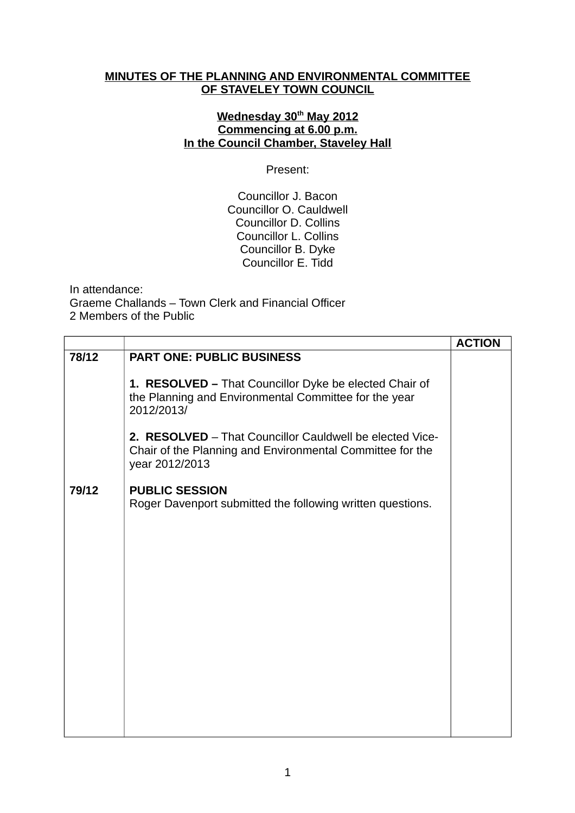## **MINUTES OF THE PLANNING AND ENVIRONMENTAL COMMITTEE OF STAVELEY TOWN COUNCIL**

# **Wednesday 30th May 2012 Commencing at 6.00 p.m. In the Council Chamber, Staveley Hall**

Present:

Councillor J. Bacon Councillor O. Cauldwell Councillor D. Collins Councillor L. Collins Councillor B. Dyke Councillor E. Tidd

In attendance: Graeme Challands – Town Clerk and Financial Officer 2 Members of the Public

|       |                                                                                                                                         | <b>ACTION</b> |
|-------|-----------------------------------------------------------------------------------------------------------------------------------------|---------------|
| 78/12 | <b>PART ONE: PUBLIC BUSINESS</b>                                                                                                        |               |
|       | 1. RESOLVED - That Councillor Dyke be elected Chair of<br>the Planning and Environmental Committee for the year<br>2012/2013/           |               |
|       | 2. RESOLVED - That Councillor Cauldwell be elected Vice-<br>Chair of the Planning and Environmental Committee for the<br>year 2012/2013 |               |
| 79/12 | <b>PUBLIC SESSION</b><br>Roger Davenport submitted the following written questions.                                                     |               |
|       |                                                                                                                                         |               |
|       |                                                                                                                                         |               |
|       |                                                                                                                                         |               |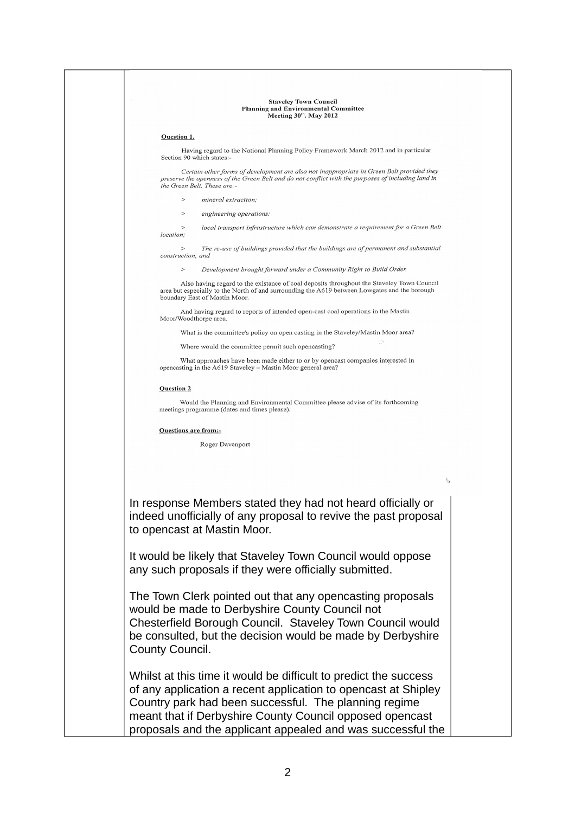## **Staveley Town Council** Planning and Environmental Committee Meeting 30th. May 2012

## Question 1.

Having regard to the National Planning Policy Framework March 2012 and in particular Section 90 which states:

Certain other forms of development are also not inappropriate in Green Belt provided they preserve the openness of the Green Belt and do not conflict with the purposes of including land in the Green Belt. These are:-

- $\sim$ mineral extraction.
- $\rightarrow$ engineering operations

local transport infrastructure which can demonstrate a requirement for a Green Belt location:

The re-use of buildings provided that the buildings are of permanent and substantial construction: and

Development brought forward under a Community Right to Build Order.

Also having regard to the existance of coal deposits throughout the Staveley Town Council<br>area but especially to the North of and surrounding the A619 between Lowgates and the borough boundary East of Mastin Moor.

And having regard to reports of intended open-cast coal operations in the Mastin Moor/Woodthorpe area

What is the committee's policy on open casting in the Staveley/Mastin Moor area?

Where would the committee permit such opencasting?

What approaches have been made either to or by opencast companies interested in opencasting in the A619 Staveley - Mastin Moor general area?

### **Ouestion 2**

Would the Planning and Environmental Committee please advise of its forthcoming meetings programme (dates and times please).

### Questions are from:-

Roger Davenport

In response Members stated they had not heard officially or indeed unofficially of any proposal to revive the past proposal to opencast at Mastin Moor.

It would be likely that Staveley Town Council would oppose any such proposals if they were officially submitted.

The Town Clerk pointed out that any opencasting proposals would be made to Derbyshire County Council not Chesterfield Borough Council. Staveley Town Council would be consulted, but the decision would be made by Derbyshire County Council.

Whilst at this time it would be difficult to predict the success of any application a recent application to opencast at Shipley Country park had been successful. The planning regime meant that if Derbyshire County Council opposed opencast proposals and the applicant appealed and was successful the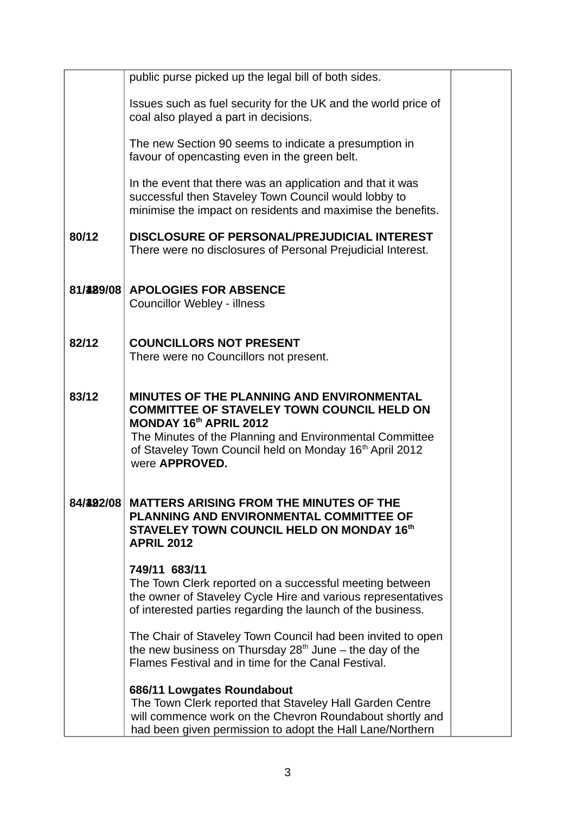|           | public purse picked up the legal bill of both sides.                                                                                                                                                                                                                         |  |
|-----------|------------------------------------------------------------------------------------------------------------------------------------------------------------------------------------------------------------------------------------------------------------------------------|--|
|           | Issues such as fuel security for the UK and the world price of<br>coal also played a part in decisions.                                                                                                                                                                      |  |
|           | The new Section 90 seems to indicate a presumption in<br>favour of opencasting even in the green belt.                                                                                                                                                                       |  |
|           | In the event that there was an application and that it was<br>successful then Staveley Town Council would lobby to<br>minimise the impact on residents and maximise the benefits.                                                                                            |  |
| 80/12     | DISCLOSURE OF PERSONAL/PREJUDICIAL INTEREST<br>There were no disclosures of Personal Prejudicial Interest.                                                                                                                                                                   |  |
| 81/429/08 | <b>APOLOGIES FOR ABSENCE</b><br><b>Councillor Webley - illness</b>                                                                                                                                                                                                           |  |
| 82/12     | <b>COUNCILLORS NOT PRESENT</b><br>There were no Councillors not present.                                                                                                                                                                                                     |  |
| 83/12     | MINUTES OF THE PLANNING AND ENVIRONMENTAL<br><b>COMMITTEE OF STAVELEY TOWN COUNCIL HELD ON</b><br>MONDAY 16th APRIL 2012<br>The Minutes of the Planning and Environmental Committee<br>of Staveley Town Council held on Monday 16 <sup>th</sup> April 2012<br>were APPROVED. |  |
| 84/492/08 | <b>MATTERS ARISING FROM THE MINUTES OF THE</b><br>PLANNING AND ENVIRONMENTAL COMMITTEE OF<br>STAVELEY TOWN COUNCIL HELD ON MONDAY 16th<br><b>APRIL 2012</b>                                                                                                                  |  |
|           | 749/11 683/11<br>The Town Clerk reported on a successful meeting between<br>the owner of Staveley Cycle Hire and various representatives<br>of interested parties regarding the launch of the business.                                                                      |  |
|           | The Chair of Staveley Town Council had been invited to open<br>the new business on Thursday $28th$ June – the day of the<br>Flames Festival and in time for the Canal Festival.                                                                                              |  |
|           | 686/11 Lowgates Roundabout<br>The Town Clerk reported that Staveley Hall Garden Centre<br>will commence work on the Chevron Roundabout shortly and<br>had been given permission to adopt the Hall Lane/Northern                                                              |  |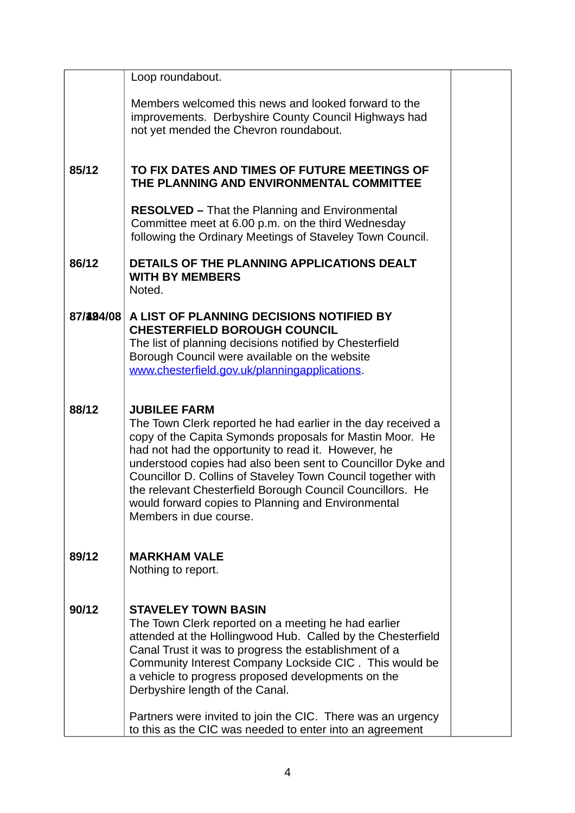| Loop roundabout.<br>Members welcomed this news and looked forward to the<br>improvements. Derbyshire County Council Highways had<br>not yet mended the Chevron roundabout.<br>85/12<br>TO FIX DATES AND TIMES OF FUTURE MEETINGS OF<br>THE PLANNING AND ENVIRONMENTAL COMMITTEE<br><b>RESOLVED</b> - That the Planning and Environmental<br>Committee meet at 6.00 p.m. on the third Wednesday                                                                                                   |  |
|--------------------------------------------------------------------------------------------------------------------------------------------------------------------------------------------------------------------------------------------------------------------------------------------------------------------------------------------------------------------------------------------------------------------------------------------------------------------------------------------------|--|
|                                                                                                                                                                                                                                                                                                                                                                                                                                                                                                  |  |
|                                                                                                                                                                                                                                                                                                                                                                                                                                                                                                  |  |
|                                                                                                                                                                                                                                                                                                                                                                                                                                                                                                  |  |
| following the Ordinary Meetings of Staveley Town Council.                                                                                                                                                                                                                                                                                                                                                                                                                                        |  |
| 86/12<br>DETAILS OF THE PLANNING APPLICATIONS DEALT<br><b>WITH BY MEMBERS</b><br>Noted.                                                                                                                                                                                                                                                                                                                                                                                                          |  |
| 87/494/08<br>A LIST OF PLANNING DECISIONS NOTIFIED BY<br><b>CHESTERFIELD BOROUGH COUNCIL</b><br>The list of planning decisions notified by Chesterfield<br>Borough Council were available on the website<br>www.chesterfield.gov.uk/planningapplications.                                                                                                                                                                                                                                        |  |
| 88/12<br><b>JUBILEE FARM</b><br>The Town Clerk reported he had earlier in the day received a<br>copy of the Capita Symonds proposals for Mastin Moor. He<br>had not had the opportunity to read it. However, he<br>understood copies had also been sent to Councillor Dyke and<br>Councillor D. Collins of Staveley Town Council together with<br>the relevant Chesterfield Borough Council Councillors. He<br>would forward copies to Planning and Environmental<br>Members in due course.      |  |
| 89/12<br><b>MARKHAM VALE</b><br>Nothing to report.                                                                                                                                                                                                                                                                                                                                                                                                                                               |  |
| 90/12<br><b>STAVELEY TOWN BASIN</b><br>The Town Clerk reported on a meeting he had earlier<br>attended at the Hollingwood Hub. Called by the Chesterfield<br>Canal Trust it was to progress the establishment of a<br>Community Interest Company Lockside CIC. This would be<br>a vehicle to progress proposed developments on the<br>Derbyshire length of the Canal.<br>Partners were invited to join the CIC. There was an urgency<br>to this as the CIC was needed to enter into an agreement |  |